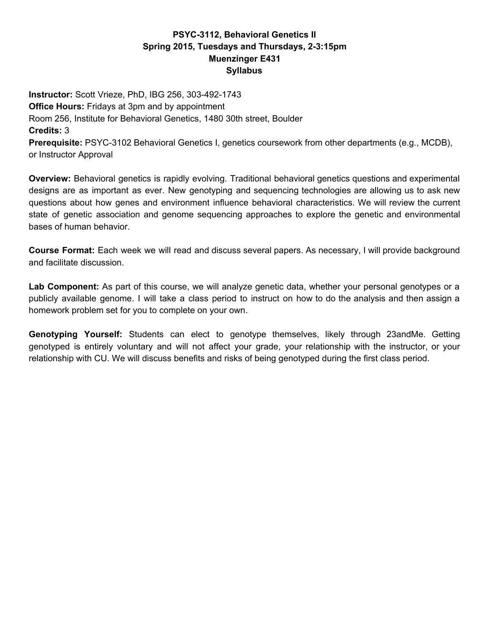## **PSYC3112, Behavioral Genetics II Spring 2015, Tuesdays and Thursdays, 23:15pm Muenzinger E431 Syllabus**

**Instructor:** Scott Vrieze, PhD, IBG 256, 303-492-1743 **Office Hours: Fridays at 3pm and by appointment** Room 256, Institute for Behavioral Genetics, 1480 30th street, Boulder **Credits:**3 **Prerequisite:** PSYC-3102 Behavioral Genetics I, genetics coursework from other departments (e.g., MCDB), or Instructor Approval

**Overview:** Behavioral genetics is rapidly evolving. Traditional behavioral genetics questions and experimental designs are as important as ever. New genotyping and sequencing technologies are allowing us to ask new questions about how genes and environment influence behavioral characteristics. We will review the current state of genetic association and genome sequencing approaches to explore the genetic and environmental bases of human behavior.

**Course Format:** Each week we will read and discuss several papers. As necessary, I will provide background and facilitate discussion.

**Lab Component:** As part of this course, we will analyze genetic data, whether your personal genotypes or a publicly available genome. I will take a class period to instruct on how to do the analysis and then assign a homework problem set for you to complete on your own.

**Genotyping Yourself:** Students can elect to genotype themselves, likely through 23andMe. Getting genotyped is entirely voluntary and will not affect your grade, your relationship with the instructor, or your relationship with CU. We will discuss benefits and risks of being genotyped during the first class period.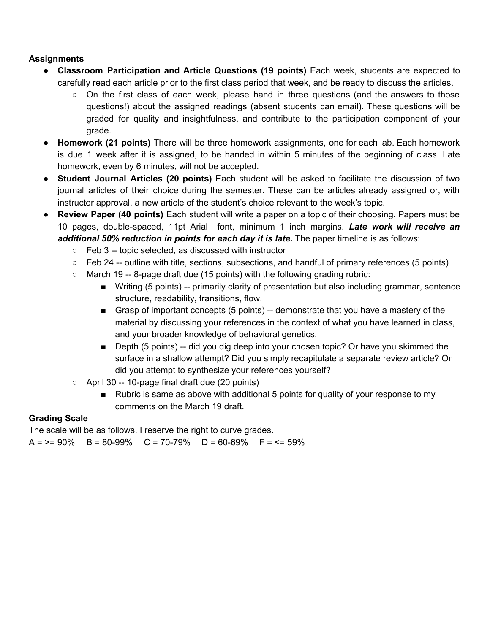## **Assignments**

- **Classroom Participation and Article Questions (19 points)** Each week, students are expected to carefully read each article prior to the first class period that week, and be ready to discuss the articles.
	- $\circ$  On the first class of each week, please hand in three questions (and the answers to those questions!) about the assigned readings (absent students can email). These questions will be graded for quality and insightfulness, and contribute to the participation component of your grade.
- **Homework (21 points)** There will be three homework assignments, one for each lab. Each homework is due 1 week after it is assigned, to be handed in within 5 minutes of the beginning of class. Late homework, even by 6 minutes, will not be accepted.
- **Student Journal Articles (20 points)** Each student will be asked to facilitate the discussion of two journal articles of their choice during the semester. These can be articles already assigned or, with instructor approval, a new article of the student's choice relevant to the week's topic.
- **Review Paper (40 points)** Each student will write a paper on a topic of their choosing. Papers must be 10 pages, doublespaced, 11pt Arial font, minimum 1 inch margins. *Late work will receive an additional 50% reduction in points for each day it is late.*The paper timeline is as follows:
	- $\circ$  Feb 3 -- topic selected, as discussed with instructor
	- $\circ$  Feb 24 -- outline with title, sections, subsections, and handful of primary references (5 points)
	- $\circ$  March 19 -- 8-page draft due (15 points) with the following grading rubric:
		- Writing (5 points) -- primarily clarity of presentation but also including grammar, sentence structure, readability, transitions, flow.
		- Grasp of important concepts (5 points) -- demonstrate that you have a mastery of the material by discussing your references in the context of what you have learned in class, and your broader knowledge of behavioral genetics.
		- **■** Depth (5 points)  $-$  did you dig deep into your chosen topic? Or have you skimmed the surface in a shallow attempt? Did you simply recapitulate a separate review article? Or did you attempt to synthesize your references yourself?
	- $\circ$  April 30 -- 10-page final draft due (20 points)
		- Rubric is same as above with additional 5 points for quality of your response to my comments on the March 19 draft.

## **Grading Scale**

The scale will be as follows. I reserve the right to curve grades.  $A = \ge 90\%$  B = 80-99% C = 70-79% D = 60-69% F = <= 59%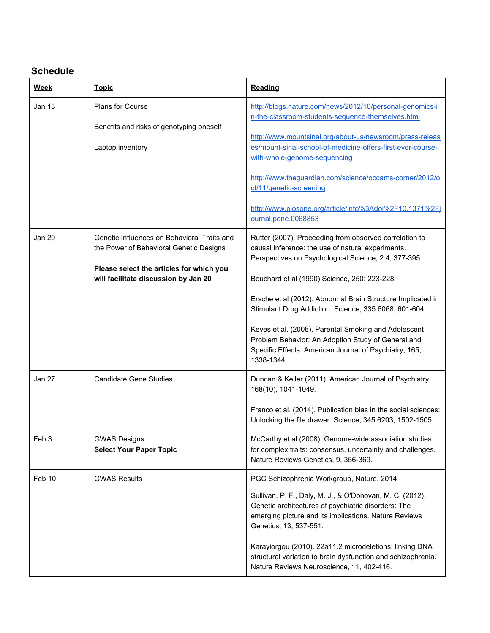# **Schedule**

| <b>Week</b>   | <b>Topic</b>                                                                                                                                                               | Reading                                                                                                                                                                                                                                                                                                                                                                                                                                                                                                                           |
|---------------|----------------------------------------------------------------------------------------------------------------------------------------------------------------------------|-----------------------------------------------------------------------------------------------------------------------------------------------------------------------------------------------------------------------------------------------------------------------------------------------------------------------------------------------------------------------------------------------------------------------------------------------------------------------------------------------------------------------------------|
| Jan 13        | <b>Plans for Course</b><br>Benefits and risks of genotyping oneself<br>Laptop inventory                                                                                    | http://blogs.nature.com/news/2012/10/personal-genomics-i<br>n-the-classroom-students-sequence-themselves.html<br>http://www.mountsinai.org/about-us/newsroom/press-releas<br>es/mount-sinai-school-of-medicine-offers-first-ever-course-<br>with-whole-genome-sequencing<br>http://www.theguardian.com/science/occams-corner/2012/o<br>ct/11/genetic-screening<br>http://www.plosone.org/article/info%3Adoi%2F10.1371%2Fj<br>ournal.pone.0068853                                                                                  |
| <b>Jan 20</b> | Genetic Influences on Behavioral Traits and<br>the Power of Behavioral Genetic Designs<br>Please select the articles for which you<br>will facilitate discussion by Jan 20 | Rutter (2007). Proceeding from observed correlation to<br>causal inference: the use of natural experiments.<br>Perspectives on Psychological Science, 2:4, 377-395.<br>Bouchard et al (1990) Science, 250: 223-228.<br>Ersche et al (2012). Abnormal Brain Structure Implicated in<br>Stimulant Drug Addiction. Science, 335:6068, 601-604.<br>Keyes et al. (2008). Parental Smoking and Adolescent<br>Problem Behavior: An Adoption Study of General and<br>Specific Effects. American Journal of Psychiatry, 165,<br>1338-1344. |
| Jan 27        | <b>Candidate Gene Studies</b>                                                                                                                                              | Duncan & Keller (2011). American Journal of Psychiatry,<br>168(10), 1041-1049.<br>Franco et al. (2014). Publication bias in the social sciences:<br>Unlocking the file drawer. Science, 345:6203, 1502-1505.                                                                                                                                                                                                                                                                                                                      |
| Feb 3         | <b>GWAS Designs</b><br><b>Select Your Paper Topic</b>                                                                                                                      | McCarthy et al (2008). Genome-wide association studies<br>for complex traits: consensus, uncertainty and challenges.<br>Nature Reviews Genetics, 9, 356-369.                                                                                                                                                                                                                                                                                                                                                                      |
| Feb 10        | <b>GWAS Results</b>                                                                                                                                                        | PGC Schizophrenia Workgroup, Nature, 2014<br>Sullivan, P. F., Daly, M. J., & O'Donovan, M. C. (2012).<br>Genetic architectures of psychiatric disorders: The<br>emerging picture and its implications. Nature Reviews<br>Genetics, 13, 537-551.<br>Karayiorgou (2010). 22a11.2 microdeletions: linking DNA<br>structural variation to brain dysfunction and schizophrenia.<br>Nature Reviews Neuroscience, 11, 402-416.                                                                                                           |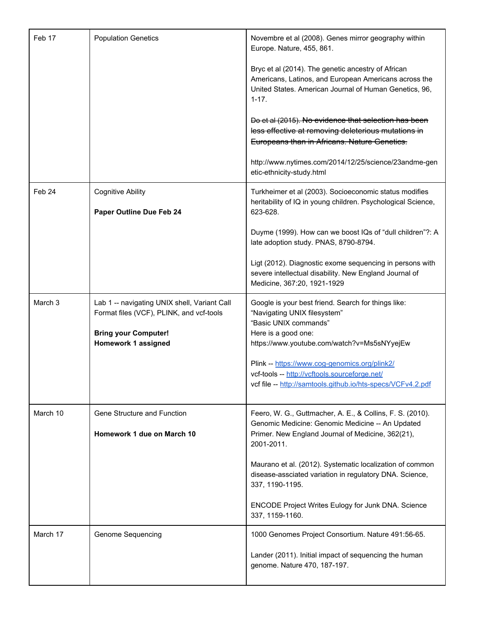| Feb 17   | <b>Population Genetics</b>                                                                                                                            | Novembre et al (2008). Genes mirror geography within<br>Europe. Nature, 455, 861.                                                                                                  |
|----------|-------------------------------------------------------------------------------------------------------------------------------------------------------|------------------------------------------------------------------------------------------------------------------------------------------------------------------------------------|
|          |                                                                                                                                                       | Bryc et al (2014). The genetic ancestry of African<br>Americans, Latinos, and European Americans across the<br>United States. American Journal of Human Genetics, 96,<br>$1 - 17.$ |
|          |                                                                                                                                                       | Do et al (2015). No evidence that selection has been<br>less effective at removing deleterious mutations in<br>Europeans than in Africans. Nature Genetics.                        |
|          |                                                                                                                                                       | http://www.nytimes.com/2014/12/25/science/23andme-gen<br>etic-ethnicity-study.html                                                                                                 |
| Feb 24   | <b>Cognitive Ability</b><br>Paper Outline Due Feb 24                                                                                                  | Turkheimer et al (2003). Socioeconomic status modifies<br>heritability of IQ in young children. Psychological Science,<br>623-628.                                                 |
|          |                                                                                                                                                       | Duyme (1999). How can we boost IQs of "dull children"?: A<br>late adoption study. PNAS, 8790-8794.                                                                                 |
|          |                                                                                                                                                       | Ligt (2012). Diagnostic exome sequencing in persons with<br>severe intellectual disability. New England Journal of<br>Medicine, 367:20, 1921-1929                                  |
| March 3  | Lab 1 -- navigating UNIX shell, Variant Call<br>Format files (VCF), PLINK, and vcf-tools<br><b>Bring your Computer!</b><br><b>Homework 1 assigned</b> | Google is your best friend. Search for things like:<br>"Navigating UNIX filesystem"<br>"Basic UNIX commands"<br>Here is a good one:<br>https://www.youtube.com/watch?v=Ms5sNYyejEw |
|          |                                                                                                                                                       | Plink -- https://www.cog-genomics.org/plink2/<br>vcf-tools -- http://vcftools.sourceforge.net/<br>vcf file -- http://samtools.github.io/hts-specs/VCFv4.2.pdf                      |
| March 10 | Gene Structure and Function                                                                                                                           | Feero, W. G., Guttmacher, A. E., & Collins, F. S. (2010).                                                                                                                          |
|          | Homework 1 due on March 10                                                                                                                            | Genomic Medicine: Genomic Medicine -- An Updated<br>Primer. New England Journal of Medicine, 362(21),<br>2001-2011.                                                                |
|          |                                                                                                                                                       | Maurano et al. (2012). Systematic localization of common<br>disease-assciated variation in regulatory DNA. Science,<br>337, 1190-1195.                                             |
|          |                                                                                                                                                       | ENCODE Project Writes Eulogy for Junk DNA. Science<br>337, 1159-1160.                                                                                                              |
| March 17 | Genome Sequencing                                                                                                                                     | 1000 Genomes Project Consortium. Nature 491:56-65.                                                                                                                                 |
|          |                                                                                                                                                       | Lander (2011). Initial impact of sequencing the human<br>genome. Nature 470, 187-197.                                                                                              |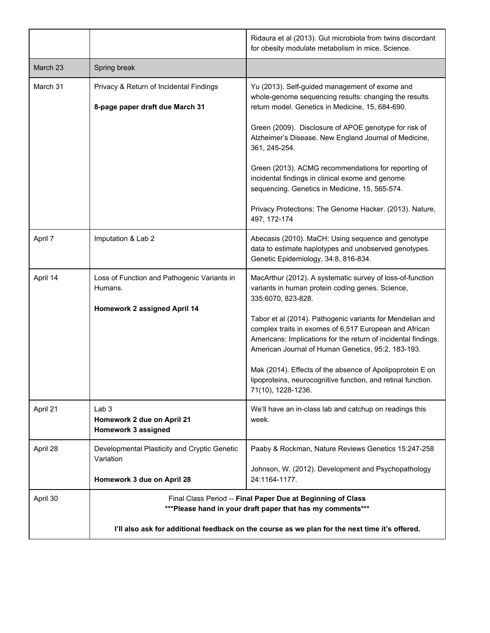|          |                                                                                                                            | Ridaura et al (2013). Gut microbiota from twins discordant<br>for obesity modulate metabolism in mice. Science.                                                                                                                             |
|----------|----------------------------------------------------------------------------------------------------------------------------|---------------------------------------------------------------------------------------------------------------------------------------------------------------------------------------------------------------------------------------------|
| March 23 | Spring break                                                                                                               |                                                                                                                                                                                                                                             |
| March 31 | Privacy & Return of Incidental Findings<br>8-page paper draft due March 31                                                 | Yu (2013). Self-guided management of exome and<br>whole-genome sequencing results: changing the results<br>return model. Genetics in Medicine, 15, 684-690.                                                                                 |
|          |                                                                                                                            | Green (2009). Disclosure of APOE genotype for risk of<br>Alzheimer's Disease. New England Journal of Medicine,<br>361, 245-254.                                                                                                             |
|          |                                                                                                                            | Green (2013). ACMG recommendations for reporting of<br>incidental findings in clinical exome and genome<br>sequencing. Genetics in Medicine, 15, 565-574.                                                                                   |
|          |                                                                                                                            | Privacy Protections: The Genome Hacker. (2013). Nature,<br>497, 172-174                                                                                                                                                                     |
| April 7  | Imputation & Lab 2                                                                                                         | Abecasis (2010). MaCH: Using sequence and genotype<br>data to estimate haplotypes and unobserved genotypes.<br>Genetic Epidemiology, 34:8, 816-834.                                                                                         |
| April 14 | Loss of Function and Pathogenic Variants in<br>Humans.                                                                     | MacArthur (2012). A systematic survey of loss-of-function<br>variants in human protein coding genes. Science,<br>335:6070, 823-828.                                                                                                         |
|          | Homework 2 assigned April 14                                                                                               | Tabor et al (2014). Pathogenic variants for Mendelian and<br>complex traits in exomes of 6,517 European and African<br>Americans: Implications for the return of incidental findings.<br>American Journal of Human Genetics, 95:2, 183-193. |
|          |                                                                                                                            | Mak (2014). Effects of the absence of Apolipoprotein E on<br>lipoproteins, neurocognitive function, and retinal function.<br>71(10), 1228-1236.                                                                                             |
| April 21 | Lab <sub>3</sub><br>Homework 2 due on April 21<br>Homework 3 assigned                                                      | We'll have an in-class lab and catchup on readings this<br>week.                                                                                                                                                                            |
| April 28 | Developmental Plasticity and Cryptic Genetic<br>Variation                                                                  | Paaby & Rockman, Nature Reviews Genetics 15:247-258                                                                                                                                                                                         |
|          | Homework 3 due on April 28                                                                                                 | Johnson, W. (2012). Development and Psychopathology<br>24:1164-1177.                                                                                                                                                                        |
| April 30 | Final Class Period -- Final Paper Due at Beginning of Class<br>*** Please hand in your draft paper that has my comments*** |                                                                                                                                                                                                                                             |
|          | I'll also ask for additional feedback on the course as we plan for the next time it's offered.                             |                                                                                                                                                                                                                                             |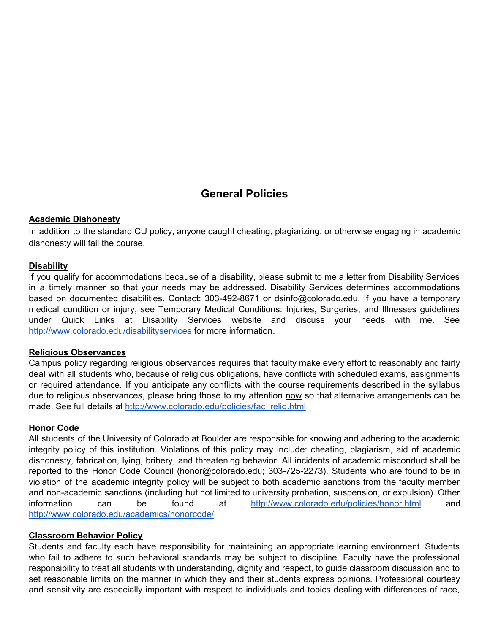# **General Policies**

#### **Academic Dishonesty**

In addition to the standard CU policy, anyone caught cheating, plagiarizing, or otherwise engaging in academic dishonesty will fail the course.

#### **Disability**

If you qualify for accommodations because of a disability, please submit to me a letter from Disability Services in a timely manner so that your needs may be addressed. Disability Services determines accommodations based on documented disabilities. Contact: 303-492-8671 or dsinfo@colorado.edu. If you have a temporary medical condition or injury, see Temporary Medical Conditions: Injuries, Surgeries, and Illnesses guidelines under Quick Links at Disability Services website and discuss your needs with me. Se[e](http://www.colorado.edu/disabilityservices) <http://www.colorado.edu/disabilityservices> for more information.

#### **Religious Observances**

Campus policy regarding religious observances requires that faculty make every effort to reasonably and fairly deal with all students who, because of religious obligations, have conflicts with scheduled exams, assignments or required attendance. If you anticipate any conflicts with the course requirements described in the syllabus due to religious observances, please bring those to my attention now so that alternative arrangements can be made. See full details at [http://www.colorado.edu/policies/fac\\_relig.html](http://www.colorado.edu/policies/fac_relig.html)

#### **Honor Code**

All students of the University of Colorado at Boulder are responsible for knowing and adhering to the academic integrity policy of this institution. Violations of this policy may include: cheating, plagiarism, aid of academic dishonesty, fabrication, lying, bribery, and threatening behavior. All incidents of academic misconduct shall be reported to the Honor Code Council (honor@colorado.edu; 303-725-2273). Students who are found to be in violation of the academic integrity policy will be subject to both academic sanctions from the faculty member and non-academic sanctions (including but not limited to university probation, suspension, or expulsion). Other information can be found at <http://www.colorado.edu/policies/honor.html> an[d](http://www.colorado.edu/academics/honorcode/) <http://www.colorado.edu/academics/honorcode/>

#### **Classroom Behavior Policy**

Students and faculty each have responsibility for maintaining an appropriate learning environment. Students who fail to adhere to such behavioral standards may be subject to discipline. Faculty have the professional responsibility to treat all students with understanding, dignity and respect, to guide classroom discussion and to set reasonable limits on the manner in which they and their students express opinions. Professional courtesy and sensitivity are especially important with respect to individuals and topics dealing with differences of race,